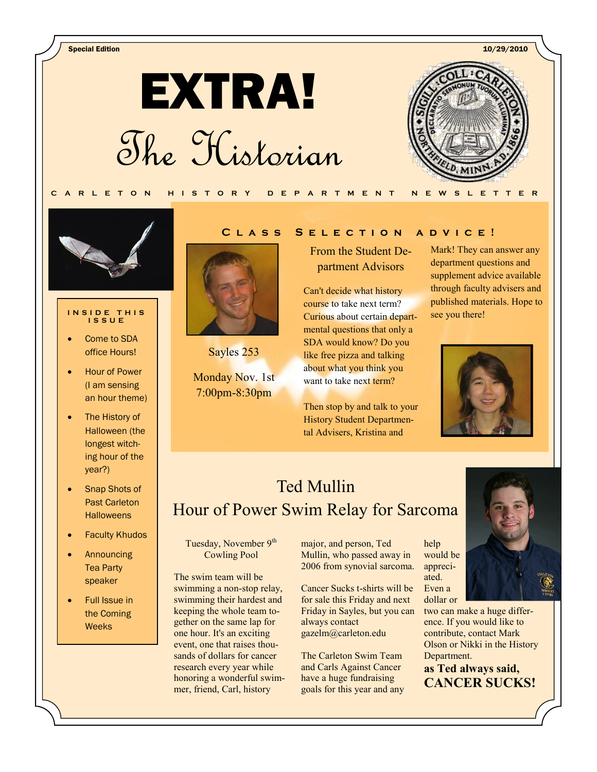Special Edition 10/29/2010

**EXTRA!** The Historian





#### **I N S I D E T H I S I S S U E**

- Come to SDA office Hours!
- Hour of Power (I am sensing an hour theme)
- The History of Halloween (the longest witching hour of the year?)
- Snap Shots of Past Carleton **Halloweens**
- Faculty Khudos
- Announcing Tea Party speaker
- Full Issue in the Coming **Weeks**

### **C l a s s S e l e c t i o n a d v i c e !**

From the Student Department Advisors

Can't decide what history course to take next term? Curious about certain departmental questions that only a SDA would know? Do you like free pizza and talking about what you think you want to take next term?

Then stop by and talk to your History Student Departmental Advisers, Kristina and

Mark! They can answer any department questions and supplement advice available through faculty advisers and published materials. Hope to see you there!



# Ted Mullin Hour of Power Swim Relay for Sarcoma

Tuesday, November 9<sup>th</sup> Cowling Pool

Sayles 253

Monday Nov. 1st 7:00pm-8:30pm

The swim team will be swimming a non-stop relay, swimming their hardest and keeping the whole team together on the same lap for one hour. It's an exciting event, one that raises thousands of dollars for cancer research every year while honoring a wonderful swimmer, friend, Carl, history

major, and person, Ted Mullin, who passed away in 2006 from synovial sarcoma.

Cancer Sucks t-shirts will be for sale this Friday and next Friday in Sayles, but you can always contact gazelm@carleton.edu

The Carleton Swim Team and Carls Against Cancer have a huge fundraising goals for this year and any





two can make a huge difference. If you would like to contribute, contact Mark Olson or Nikki in the History Department.

**as Ted always said, CANCER SUCKS!**